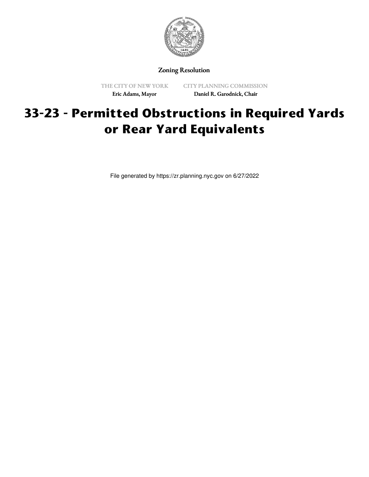

Zoning Resolution

THE CITY OF NEW YORK Eric Adams, Mayor

CITY PLANNING COMMISSION Daniel R. Garodnick, Chair

## **33-23 - Permitted Obstructions in Required Yards or Rear Yard Equivalents**

File generated by https://zr.planning.nyc.gov on 6/27/2022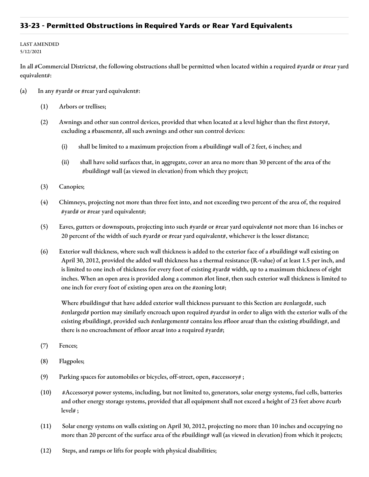## **33-23 - Permitted Obstructions in Required Yards or Rear Yard Equivalents**

## LAST AMENDED 5/12/2021

In all #Commercial Districts#, the following obstructions shall be permitted when located within a required #yard# or #rear yard equivalent#:

- (a) In any #yard# or #rear yard equivalent#:
	- (1) Arbors or trellises;
	- (2) Awnings and other sun control devices, provided that when located at a level higher than the first #story#, excluding a #basement#, all such awnings and other sun control devices:
		- (i) shall be limited to a maximum projection from a #building# wall of 2 feet, 6 inches; and
		- (ii) shall have solid surfaces that, in aggregate, cover an area no more than 30 percent of the area of the #building# wall (as viewed in elevation) from which they project;
	- (3) Canopies;
	- (4) Chimneys, projecting not more than three feet into, and not exceeding two percent of the area of, the required #yard# or #rear yard equivalent#;
	- (5) Eaves, gutters or downspouts, projecting into such #yard# or #rear yard equivalent# not more than 16 inches or 20 percent of the width of such #yard# or #rear yard equivalent#, whichever is the lesser distance;
	- (6) Exterior wall thickness, where such wall thickness is added to the exterior face of a #building# wall existing on April 30, 2012, provided the added wall thickness has a thermal resistance (R-value) of at least 1.5 per inch, and is limited to one inch of thickness for every foot of existing #yard# width, up to a maximum thickness of eight inches. When an open area is provided along a common #lot line#, then such exterior wall thickness is limited to one inch for every foot of existing open area on the #zoning lot#;

Where #buildings# that have added exterior wall thickness pursuant to this Section are #enlarged#, such #enlarged# portion may similarly encroach upon required #yards# in order to align with the exterior walls of the existing #building#, provided such #enlargement# contains less #floor area# than the existing #building#, and there is no encroachment of #floor area# into a required #yard#;

- (7) Fences;
- (8) Flagpoles;
- (9) Parking spaces for automobiles or bicycles, off-street, open, #accessory# ;
- (10) #Accessory# power systems, including, but not limited to, generators, solar energy systems, fuel cells, batteries and other energy storage systems, provided that all equipment shall not exceed a height of 23 feet above #curb level# ;
- (11) Solar energy systems on walls existing on April 30, 2012, projecting no more than 10 inches and occupying no more than 20 percent of the surface area of the #building# wall (as viewed in elevation) from which it projects;
- (12) Steps, and ramps or lifts for people with physical disabilities;